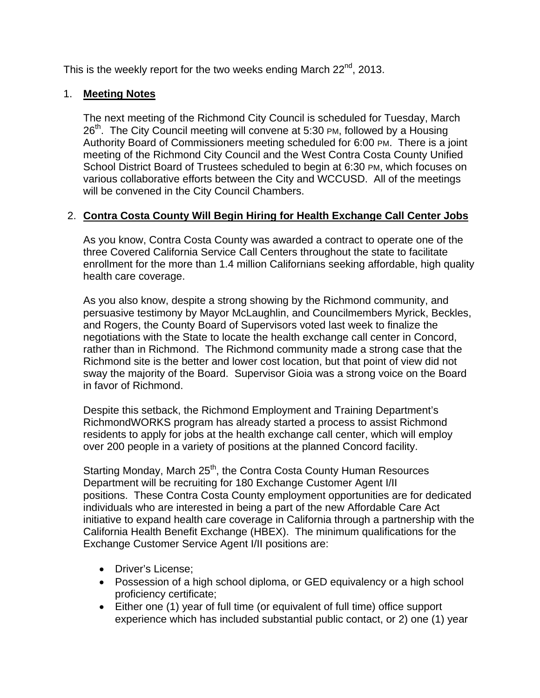This is the weekly report for the two weeks ending March 22<sup>nd</sup>, 2013.

# 1. **Meeting Notes**

The next meeting of the Richmond City Council is scheduled for Tuesday, March 26<sup>th</sup>. The City Council meeting will convene at 5:30 PM, followed by a Housing Authority Board of Commissioners meeting scheduled for 6:00 PM. There is a joint meeting of the Richmond City Council and the West Contra Costa County Unified School District Board of Trustees scheduled to begin at 6:30 PM, which focuses on various collaborative efforts between the City and WCCUSD. All of the meetings will be convened in the City Council Chambers.

# 2. **Contra Costa County Will Begin Hiring for Health Exchange Call Center Jobs**

As you know, Contra Costa County was awarded a contract to operate one of the three Covered California Service Call Centers throughout the state to facilitate enrollment for the more than 1.4 million Californians seeking affordable, high quality health care coverage.

As you also know, despite a strong showing by the Richmond community, and persuasive testimony by Mayor McLaughlin, and Councilmembers Myrick, Beckles, and Rogers, the County Board of Supervisors voted last week to finalize the negotiations with the State to locate the health exchange call center in Concord, rather than in Richmond. The Richmond community made a strong case that the Richmond site is the better and lower cost location, but that point of view did not sway the majority of the Board. Supervisor Gioia was a strong voice on the Board in favor of Richmond.

Despite this setback, the Richmond Employment and Training Department's RichmondWORKS program has already started a process to assist Richmond residents to apply for jobs at the health exchange call center, which will employ over 200 people in a variety of positions at the planned Concord facility.

Starting Monday, March 25<sup>th</sup>, the Contra Costa County Human Resources Department will be recruiting for 180 Exchange Customer Agent I/II positions. These Contra Costa County employment opportunities are for dedicated individuals who are interested in being a part of the new Affordable Care Act initiative to expand health care coverage in California through a partnership with the California Health Benefit Exchange (HBEX). The minimum qualifications for the Exchange Customer Service Agent I/II positions are:

- Driver's License:
- Possession of a high school diploma, or GED equivalency or a high school proficiency certificate;
- Either one (1) year of full time (or equivalent of full time) office support experience which has included substantial public contact, or 2) one (1) year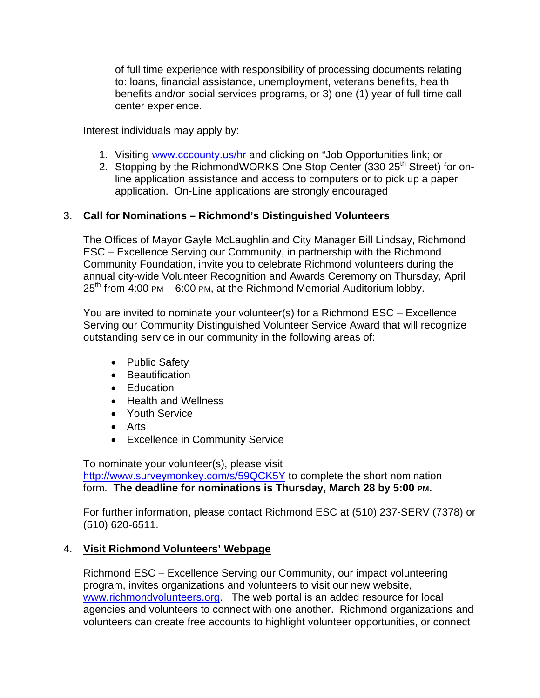of full time experience with responsibility of processing documents relating to: loans, financial assistance, unemployment, veterans benefits, health benefits and/or social services programs, or 3) one (1) year of full time call center experience.

Interest individuals may apply by:

- 1. Visiting www.cccounty.us/hr and clicking on "Job Opportunities link; or
- 2. Stopping by the RichmondWORKS One Stop Center (330 25<sup>th</sup> Street) for online application assistance and access to computers or to pick up a paper application. On-Line applications are strongly encouraged

### 3. **Call for Nominations – Richmond's Distinguished Volunteers**

The Offices of Mayor Gayle McLaughlin and City Manager Bill Lindsay, Richmond ESC – Excellence Serving our Community, in partnership with the Richmond Community Foundation, invite you to celebrate Richmond volunteers during the annual city-wide Volunteer Recognition and Awards Ceremony on Thursday, April  $25<sup>th</sup>$  from 4:00 PM – 6:00 PM, at the Richmond Memorial Auditorium lobby.

You are invited to nominate your volunteer(s) for a Richmond ESC – Excellence Serving our Community Distinguished Volunteer Service Award that will recognize outstanding service in our community in the following areas of:

- Public Safety
- **•** Beautification
- Education
- Health and Wellness
- Youth Service
- Arts
- Excellence in Community Service

To nominate your volunteer(s), please visit http://www.surveymonkey.com/s/59QCK5Y to complete the short nomination form. **The deadline for nominations is Thursday, March 28 by 5:00 PM.**

For further information, please contact Richmond ESC at (510) 237-SERV (7378) or (510) 620-6511.

# 4. **Visit Richmond Volunteers' Webpage**

Richmond ESC – Excellence Serving our Community, our impact volunteering program, invites organizations and volunteers to visit our new website, www.richmondvolunteers.org. The web portal is an added resource for local agencies and volunteers to connect with one another. Richmond organizations and volunteers can create free accounts to highlight volunteer opportunities, or connect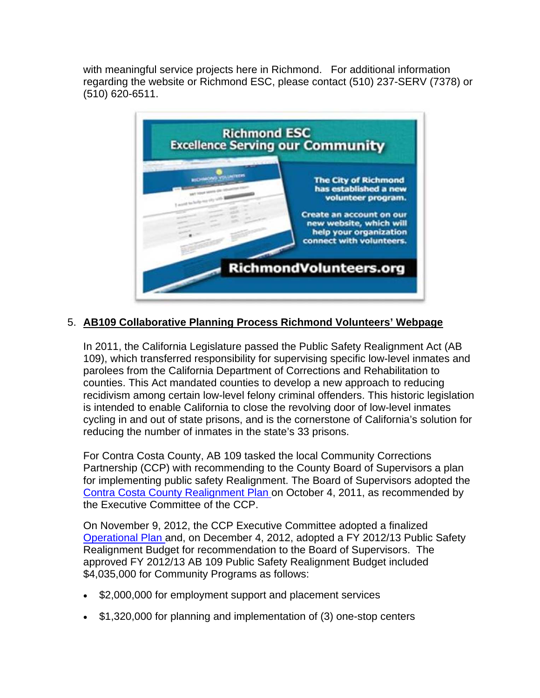with meaningful service projects here in Richmond. For additional information regarding the website or Richmond ESC, please contact (510) 237-SERV (7378) or (510) 620-6511.



# 5. **AB109 Collaborative Planning Process Richmond Volunteers' Webpage**

In 2011, the California Legislature passed the Public Safety Realignment Act (AB 109), which transferred responsibility for supervising specific low-level inmates and parolees from the California Department of Corrections and Rehabilitation to counties. This Act mandated counties to develop a new approach to reducing recidivism among certain low-level felony criminal offenders. This historic legislation is intended to enable California to close the revolving door of low-level inmates cycling in and out of state prisons, and is the cornerstone of California's solution for reducing the number of inmates in the state's 33 prisons.

For Contra Costa County, AB 109 tasked the local Community Corrections Partnership (CCP) with recommending to the County Board of Supervisors a plan for implementing public safety Realignment. The Board of Supervisors adopted the Contra Costa County Realignment Plan on October 4, 2011, as recommended by the Executive Committee of the CCP.

On November 9, 2012, the CCP Executive Committee adopted a finalized Operational Plan and, on December 4, 2012, adopted a FY 2012/13 Public Safety Realignment Budget for recommendation to the Board of Supervisors. The approved FY 2012/13 AB 109 Public Safety Realignment Budget included \$4,035,000 for Community Programs as follows:

- \$2,000,000 for employment support and placement services
- \$1,320,000 for planning and implementation of (3) one-stop centers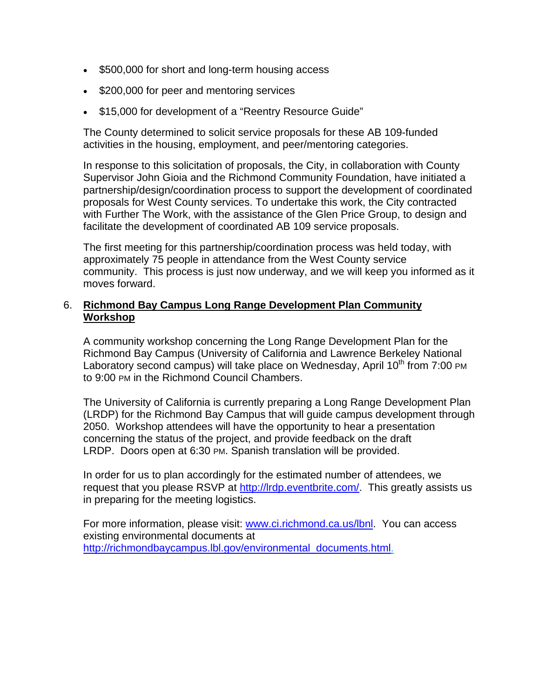- \$500,000 for short and long-term housing access
- \$200,000 for peer and mentoring services
- \$15,000 for development of a "Reentry Resource Guide"

The County determined to solicit service proposals for these AB 109-funded activities in the housing, employment, and peer/mentoring categories.

In response to this solicitation of proposals, the City, in collaboration with County Supervisor John Gioia and the Richmond Community Foundation, have initiated a partnership/design/coordination process to support the development of coordinated proposals for West County services. To undertake this work, the City contracted with Further The Work, with the assistance of the Glen Price Group, to design and facilitate the development of coordinated AB 109 service proposals.

The first meeting for this partnership/coordination process was held today, with approximately 75 people in attendance from the West County service community. This process is just now underway, and we will keep you informed as it moves forward.

### 6. **Richmond Bay Campus Long Range Development Plan Community Workshop**

A community workshop concerning the Long Range Development Plan for the Richmond Bay Campus (University of California and Lawrence Berkeley National Laboratory second campus) will take place on Wednesday, April  $10<sup>th</sup>$  from 7:00 PM to 9:00 PM in the Richmond Council Chambers.

The University of California is currently preparing a Long Range Development Plan (LRDP) for the Richmond Bay Campus that will guide campus development through 2050. Workshop attendees will have the opportunity to hear a presentation concerning the status of the project, and provide feedback on the draft LRDP. Doors open at 6:30 PM. Spanish translation will be provided.

In order for us to plan accordingly for the estimated number of attendees, we request that you please RSVP at http://lrdp.eventbrite.com/. This greatly assists us in preparing for the meeting logistics.

For more information, please visit: www.ci.richmond.ca.us/lbnl. You can access existing environmental documents at http://richmondbaycampus.lbl.gov/environmental\_documents.html.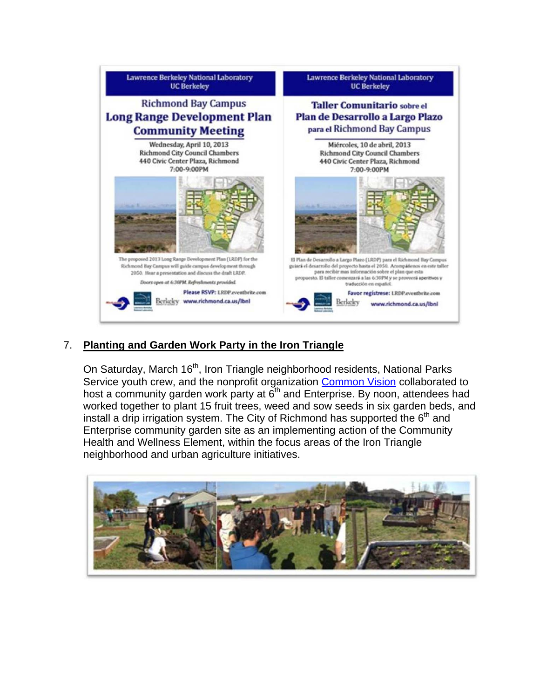

# 7. **Planting and Garden Work Party in the Iron Triangle**

On Saturday, March 16<sup>th</sup>, Iron Triangle neighborhood residents, National Parks Service youth crew, and the nonprofit organization Common Vision collaborated to host a community garden work party at  $\vec{6}^{th}$  and Enterprise. By noon, attendees had worked together to plant 15 fruit trees, weed and sow seeds in six garden beds, and install a drip irrigation system. The City of Richmond has supported the  $6<sup>th</sup>$  and Enterprise community garden site as an implementing action of the Community Health and Wellness Element, within the focus areas of the Iron Triangle neighborhood and urban agriculture initiatives.

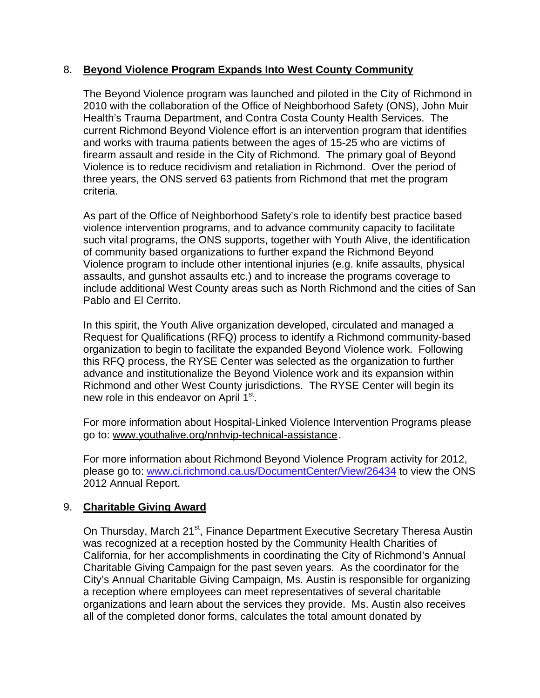### 8. **Beyond Violence Program Expands Into West County Community**

The Beyond Violence program was launched and piloted in the City of Richmond in 2010 with the collaboration of the Office of Neighborhood Safety (ONS), John Muir Health's Trauma Department, and Contra Costa County Health Services. The current Richmond Beyond Violence effort is an intervention program that identifies and works with trauma patients between the ages of 15-25 who are victims of firearm assault and reside in the City of Richmond. The primary goal of Beyond Violence is to reduce recidivism and retaliation in Richmond. Over the period of three years, the ONS served 63 patients from Richmond that met the program criteria.

As part of the Office of Neighborhood Safety's role to identify best practice based violence intervention programs, and to advance community capacity to facilitate such vital programs, the ONS supports, together with Youth Alive, the identification of community based organizations to further expand the Richmond Beyond Violence program to include other intentional injuries (e.g. knife assaults, physical assaults, and gunshot assaults etc.) and to increase the programs coverage to include additional West County areas such as North Richmond and the cities of San Pablo and El Cerrito.

In this spirit, the Youth Alive organization developed, circulated and managed a Request for Qualifications (RFQ) process to identify a Richmond community-based organization to begin to facilitate the expanded Beyond Violence work. Following this RFQ process, the RYSE Center was selected as the organization to further advance and institutionalize the Beyond Violence work and its expansion within Richmond and other West County jurisdictions. The RYSE Center will begin its new role in this endeavor on April 1<sup>st</sup>.

For more information about Hospital-Linked Violence Intervention Programs please go to: www.youthalive.org/nnhvip-technical-assistance.

For more information about Richmond Beyond Violence Program activity for 2012, please go to: www.ci.richmond.ca.us/DocumentCenter/View/26434 to view the ONS 2012 Annual Report.

# 9. **Charitable Giving Award**

On Thursday, March 21<sup>st</sup>, Finance Department Executive Secretary Theresa Austin was recognized at a reception hosted by the Community Health Charities of California, for her accomplishments in coordinating the City of Richmond's Annual Charitable Giving Campaign for the past seven years. As the coordinator for the City's Annual Charitable Giving Campaign, Ms. Austin is responsible for organizing a reception where employees can meet representatives of several charitable organizations and learn about the services they provide. Ms. Austin also receives all of the completed donor forms, calculates the total amount donated by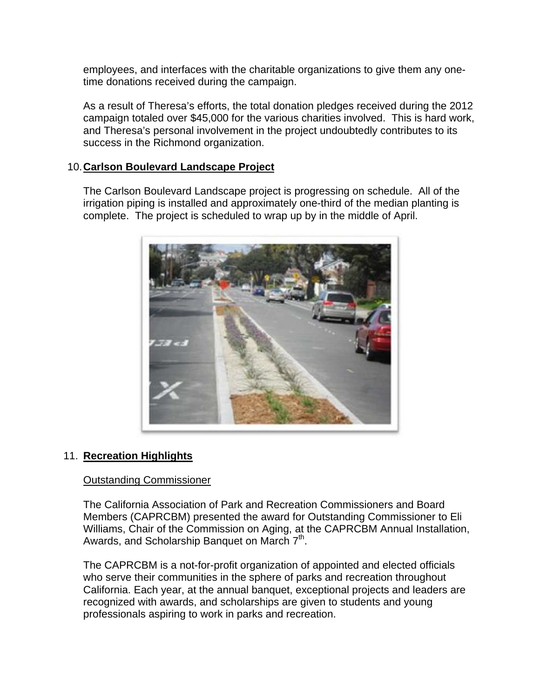employees, and interfaces with the charitable organizations to give them any onetime donations received during the campaign.

As a result of Theresa's efforts, the total donation pledges received during the 2012 campaign totaled over \$45,000 for the various charities involved. This is hard work, and Theresa's personal involvement in the project undoubtedly contributes to its success in the Richmond organization.

### 10. **Carlson Boulevard Landscape Project**

The Carlson Boulevard Landscape project is progressing on schedule. All of the irrigation piping is installed and approximately one-third of the median planting is complete. The project is scheduled to wrap up by in the middle of April.



# 11. **Recreation Highlights**

### Outstanding Commissioner

The California Association of Park and Recreation Commissioners and Board Members (CAPRCBM) presented the award for Outstanding Commissioner to Eli Williams, Chair of the Commission on Aging, at the CAPRCBM Annual Installation, Awards, and Scholarship Banquet on March  $7<sup>th</sup>$ .

The CAPRCBM is a not-for-profit organization of appointed and elected officials who serve their communities in the sphere of parks and recreation throughout California. Each year, at the annual banquet, exceptional projects and leaders are recognized with awards, and scholarships are given to students and young professionals aspiring to work in parks and recreation.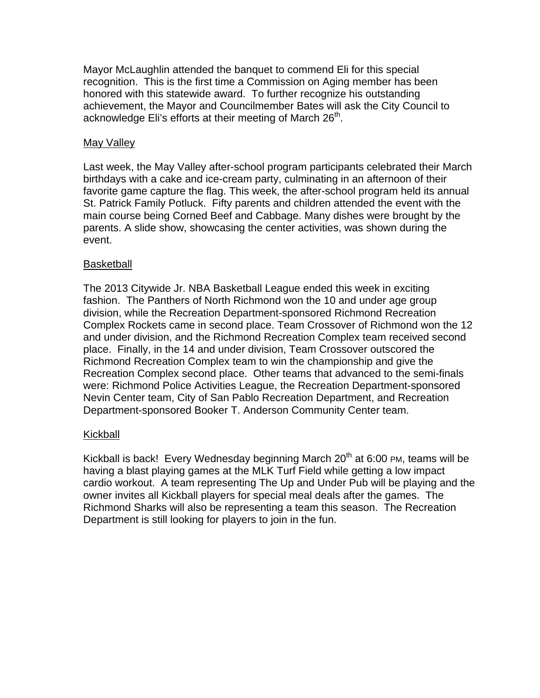Mayor McLaughlin attended the banquet to commend Eli for this special recognition. This is the first time a Commission on Aging member has been honored with this statewide award. To further recognize his outstanding achievement, the Mayor and Councilmember Bates will ask the City Council to acknowledge Eli's efforts at their meeting of March  $26<sup>th</sup>$ .

### May Valley

Last week, the May Valley after-school program participants celebrated their March birthdays with a cake and ice-cream party, culminating in an afternoon of their favorite game capture the flag. This week, the after-school program held its annual St. Patrick Family Potluck. Fifty parents and children attended the event with the main course being Corned Beef and Cabbage. Many dishes were brought by the parents. A slide show, showcasing the center activities, was shown during the event.

### Basketball

The 2013 Citywide Jr. NBA Basketball League ended this week in exciting fashion. The Panthers of North Richmond won the 10 and under age group division, while the Recreation Department-sponsored Richmond Recreation Complex Rockets came in second place. Team Crossover of Richmond won the 12 and under division, and the Richmond Recreation Complex team received second place. Finally, in the 14 and under division, Team Crossover outscored the Richmond Recreation Complex team to win the championship and give the Recreation Complex second place. Other teams that advanced to the semi-finals were: Richmond Police Activities League, the Recreation Department-sponsored Nevin Center team, City of San Pablo Recreation Department, and Recreation Department-sponsored Booker T. Anderson Community Center team.

### Kickball

Kickball is back! Every Wednesday beginning March  $20<sup>th</sup>$  at 6:00 PM, teams will be having a blast playing games at the MLK Turf Field while getting a low impact cardio workout. A team representing The Up and Under Pub will be playing and the owner invites all Kickball players for special meal deals after the games. The Richmond Sharks will also be representing a team this season. The Recreation Department is still looking for players to join in the fun.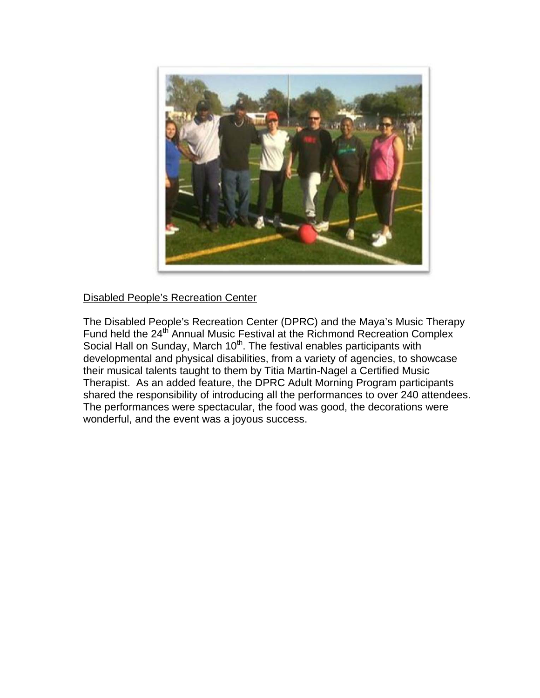

### Disabled People's Recreation Center

The Disabled People's Recreation Center (DPRC) and the Maya's Music Therapy Fund held the 24<sup>th</sup> Annual Music Festival at the Richmond Recreation Complex Social Hall on Sunday, March 10<sup>th</sup>. The festival enables participants with developmental and physical disabilities, from a variety of agencies, to showcase their musical talents taught to them by Titia Martin-Nagel a Certified Music Therapist. As an added feature, the DPRC Adult Morning Program participants shared the responsibility of introducing all the performances to over 240 attendees. The performances were spectacular, the food was good, the decorations were wonderful, and the event was a joyous success.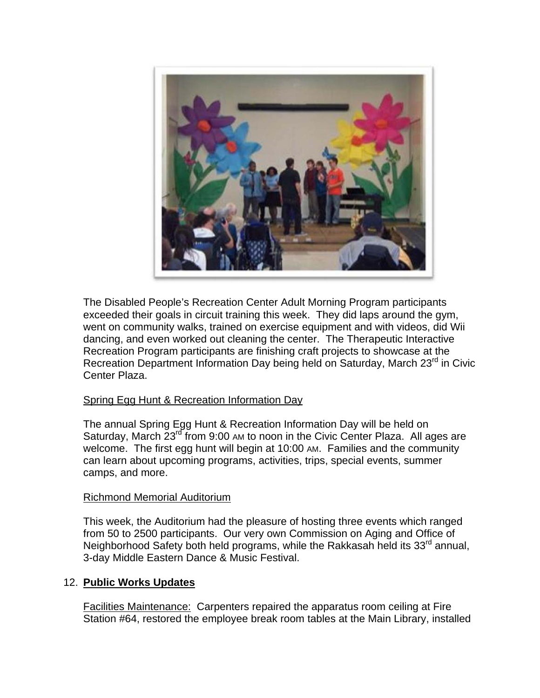

The Disabled People's Recreation Center Adult Morning Program participants exceeded their goals in circuit training this week. They did laps around the gym, went on community walks, trained on exercise equipment and with videos, did Wii dancing, and even worked out cleaning the center. The Therapeutic Interactive Recreation Program participants are finishing craft projects to showcase at the Recreation Department Information Day being held on Saturday, March 23<sup>rd</sup> in Civic Center Plaza.

### Spring Egg Hunt & Recreation Information Day

The annual Spring Egg Hunt & Recreation Information Day will be held on Saturday, March 23<sup>rd</sup> from 9:00 AM to noon in the Civic Center Plaza. All ages are welcome. The first egg hunt will begin at 10:00 AM. Families and the community can learn about upcoming programs, activities, trips, special events, summer camps, and more.

### Richmond Memorial Auditorium

This week, the Auditorium had the pleasure of hosting three events which ranged from 50 to 2500 participants. Our very own Commission on Aging and Office of Neighborhood Safety both held programs, while the Rakkasah held its  $33<sup>rd</sup>$  annual, 3-day Middle Eastern Dance & Music Festival.

### 12. **Public Works Updates**

Facilities Maintenance: Carpenters repaired the apparatus room ceiling at Fire Station #64, restored the employee break room tables at the Main Library, installed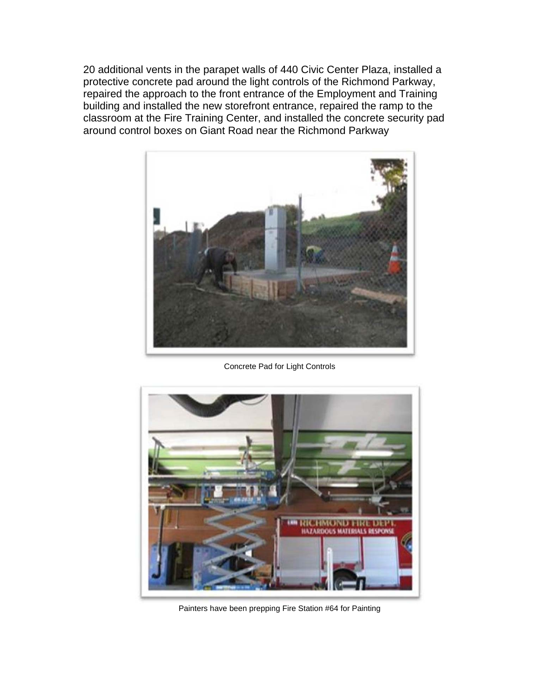20 additional vents in the parapet walls of 440 Civic Center Plaza, installed a protective concrete pad around the light controls of the Richmond Parkway, repaired the approach to the front entrance of the Employment and Training building and installed the new storefront entrance, repaired the ramp to the classroom at the Fire Training Center, and installed the concrete security pad around control boxes on Giant Road near the Richmond Parkway



Concrete Pad for Light Controls



Painters have been prepping Fire Station #64 for Painting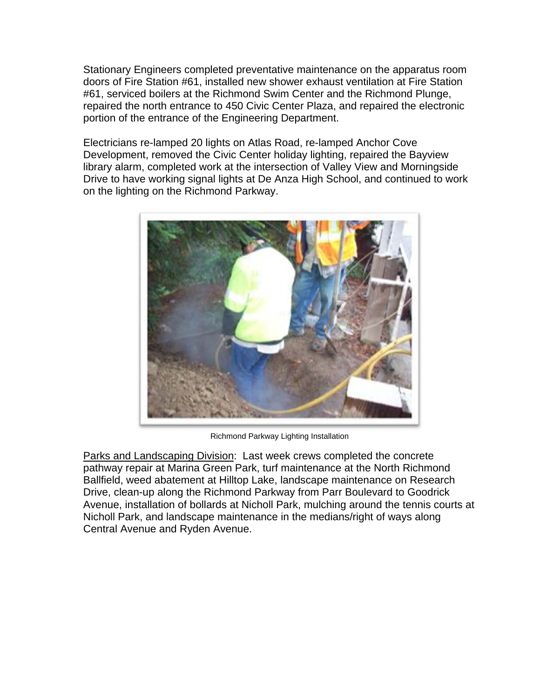Stationary Engineers completed preventative maintenance on the apparatus room doors of Fire Station #61, installed new shower exhaust ventilation at Fire Station #61, serviced boilers at the Richmond Swim Center and the Richmond Plunge, repaired the north entrance to 450 Civic Center Plaza, and repaired the electronic portion of the entrance of the Engineering Department.

Electricians re-lamped 20 lights on Atlas Road, re-lamped Anchor Cove Development, removed the Civic Center holiday lighting, repaired the Bayview library alarm, completed work at the intersection of Valley View and Morningside Drive to have working signal lights at De Anza High School, and continued to work on the lighting on the Richmond Parkway.



Richmond Parkway Lighting Installation

Parks and Landscaping Division: Last week crews completed the concrete pathway repair at Marina Green Park, turf maintenance at the North Richmond Ballfield, weed abatement at Hilltop Lake, landscape maintenance on Research Drive, clean-up along the Richmond Parkway from Parr Boulevard to Goodrick Avenue, installation of bollards at Nicholl Park, mulching around the tennis courts at Nicholl Park, and landscape maintenance in the medians/right of ways along Central Avenue and Ryden Avenue.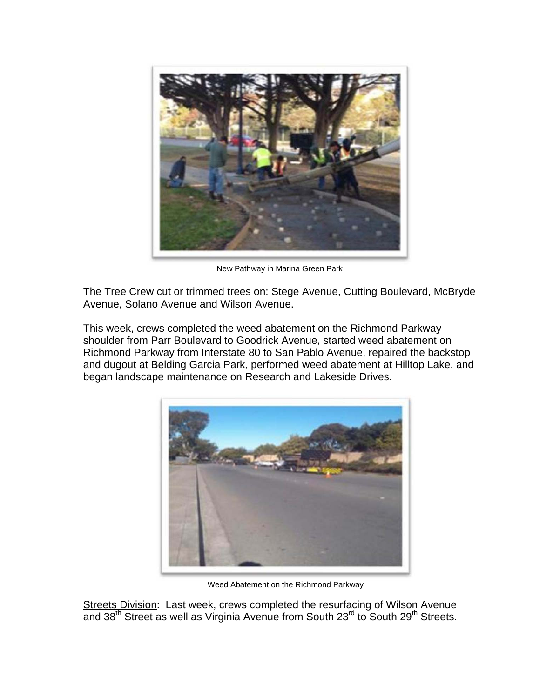

New Pathway in Marina Green Park

The Tree Crew cut or trimmed trees on: Stege Avenue, Cutting Boulevard, McBryde Avenue, Solano Avenue and Wilson Avenue.

This week, crews completed the weed abatement on the Richmond Parkway shoulder from Parr Boulevard to Goodrick Avenue, started weed abatement on Richmond Parkway from Interstate 80 to San Pablo Avenue, repaired the backstop and dugout at Belding Garcia Park, performed weed abatement at Hilltop Lake, and began landscape maintenance on Research and Lakeside Drives.



Weed Abatement on the Richmond Parkway

Streets Division: Last week, crews completed the resurfacing of Wilson Avenue and  $38<sup>th</sup>$  Street as well as Virginia Avenue from South  $23<sup>rd</sup>$  to South  $29<sup>th</sup>$  Streets.